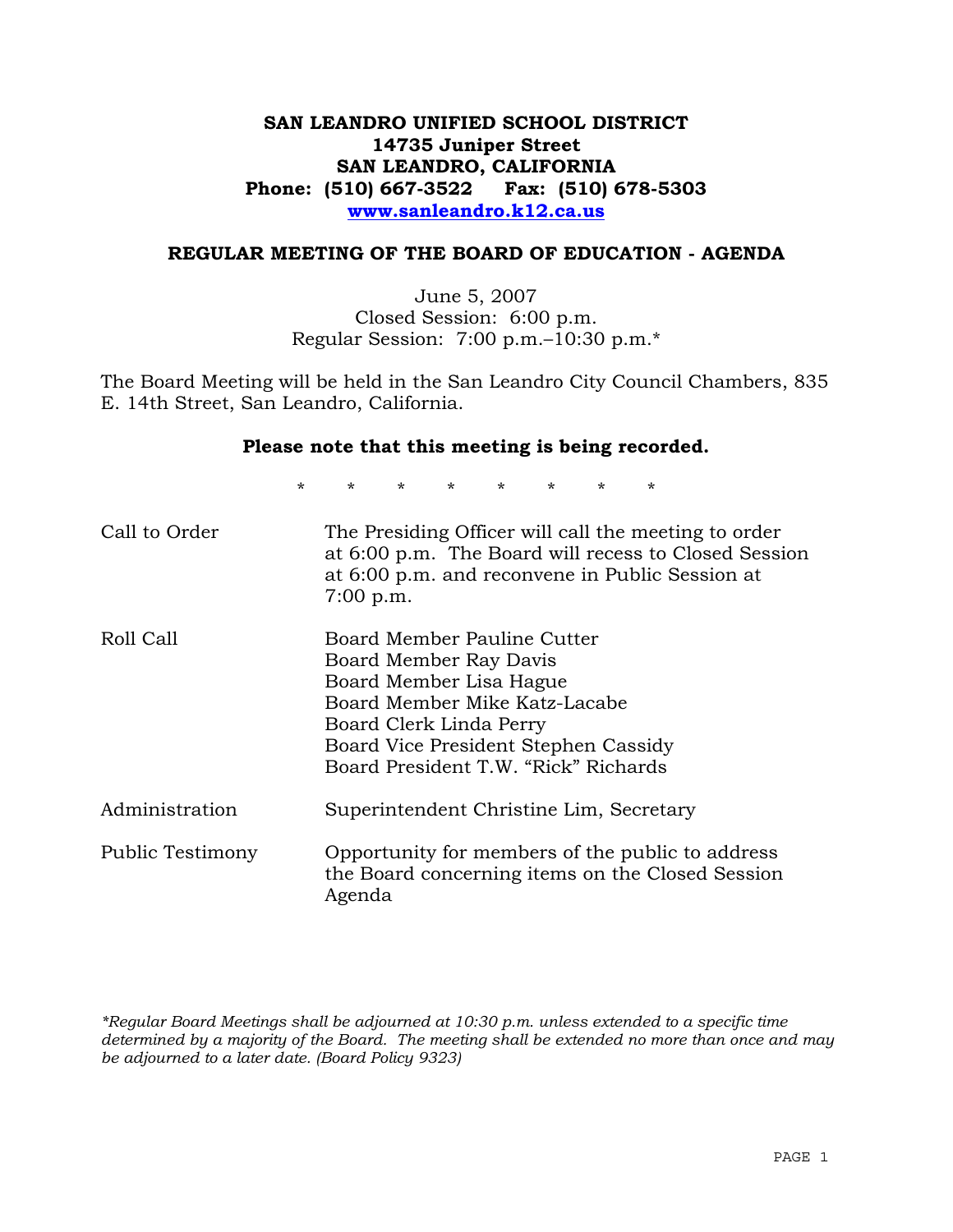# **SAN LEANDRO UNIFIED SCHOOL DISTRICT 14735 Juniper Street SAN LEANDRO, CALIFORNIA Phone: (510) 667-3522 Fax: (510) 678-5303 www.sanleandro.k12.ca.us**

## **REGULAR MEETING OF THE BOARD OF EDUCATION - AGENDA**

June 5, 2007 Closed Session: 6:00 p.m. Regular Session: 7:00 p.m.–10:30 p.m.\*

The Board Meeting will be held in the San Leandro City Council Chambers, 835 E. 14th Street, San Leandro, California.

#### **Please note that this meeting is being recorded.**

\* \* \* \* \* \* \* \*

| Call to Order    | The Presiding Officer will call the meeting to order<br>at 6:00 p.m. The Board will recess to Closed Session<br>at 6:00 p.m. and reconvene in Public Session at<br>$7:00$ p.m.                                               |
|------------------|------------------------------------------------------------------------------------------------------------------------------------------------------------------------------------------------------------------------------|
| Roll Call        | Board Member Pauline Cutter<br>Board Member Ray Davis<br>Board Member Lisa Hague<br>Board Member Mike Katz-Lacabe<br>Board Clerk Linda Perry<br>Board Vice President Stephen Cassidy<br>Board President T.W. "Rick" Richards |
| Administration   | Superintendent Christine Lim, Secretary                                                                                                                                                                                      |
| Public Testimony | Opportunity for members of the public to address<br>the Board concerning items on the Closed Session<br>Agenda                                                                                                               |

*\*Regular Board Meetings shall be adjourned at 10:30 p.m. unless extended to a specific time determined by a majority of the Board. The meeting shall be extended no more than once and may be adjourned to a later date. (Board Policy 9323)*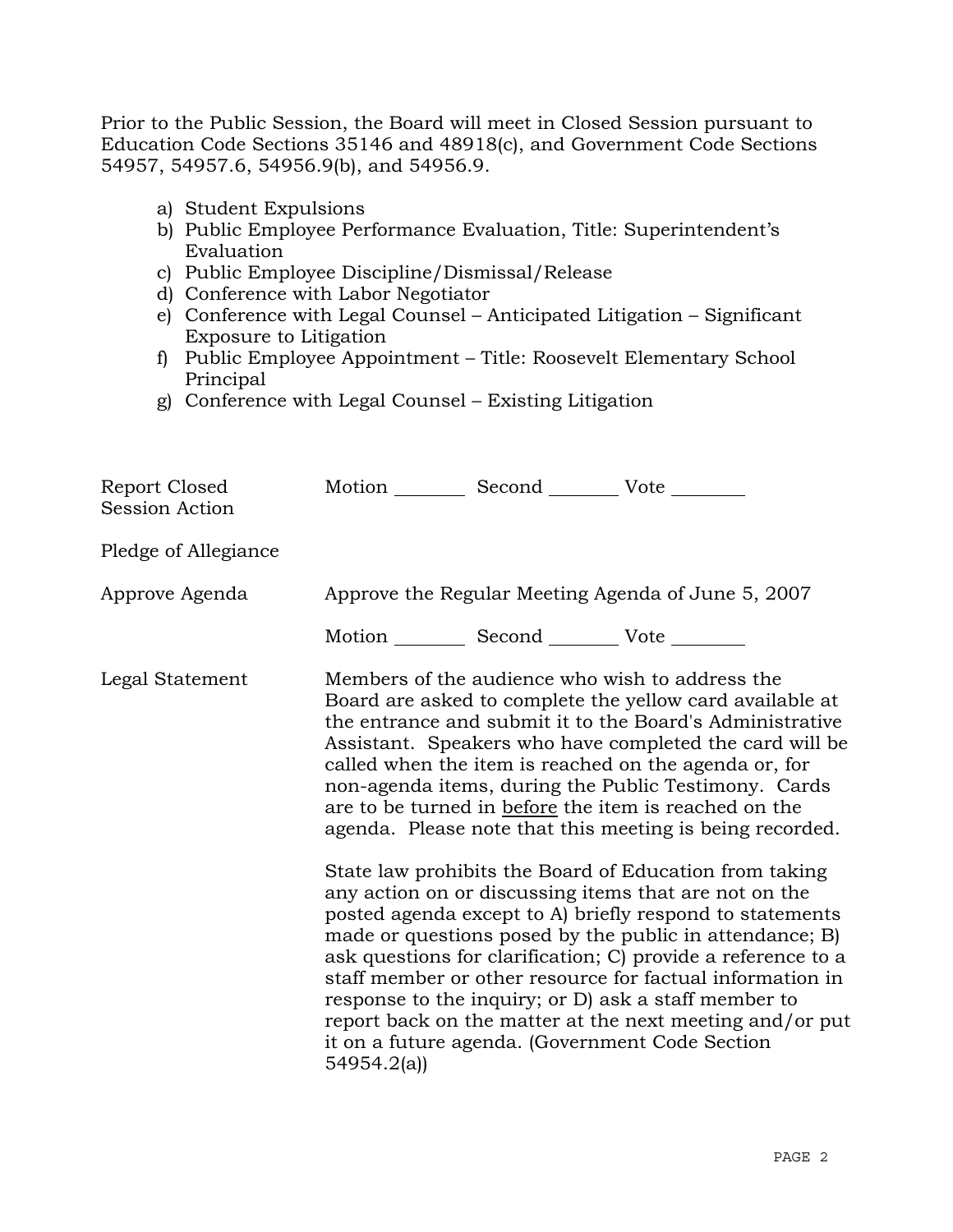Prior to the Public Session, the Board will meet in Closed Session pursuant to Education Code Sections 35146 and 48918(c), and Government Code Sections 54957, 54957.6, 54956.9(b), and 54956.9.

- a) Student Expulsions
- b) Public Employee Performance Evaluation, Title: Superintendent's Evaluation
- c) Public Employee Discipline/Dismissal/Release
- d) Conference with Labor Negotiator
- e) Conference with Legal Counsel Anticipated Litigation Significant Exposure to Litigation
- f) Public Employee Appointment Title: Roosevelt Elementary School Principal
- g) Conference with Legal Counsel Existing Litigation

| Report Closed<br>Session Action | Motion Second Vote                                 |  |                                                                                                                                                                                                                                                                                                                                                                                                                                                                                                                                                                                                                                                                                                                                                                                                                                                                                                                                                                                                                        |
|---------------------------------|----------------------------------------------------|--|------------------------------------------------------------------------------------------------------------------------------------------------------------------------------------------------------------------------------------------------------------------------------------------------------------------------------------------------------------------------------------------------------------------------------------------------------------------------------------------------------------------------------------------------------------------------------------------------------------------------------------------------------------------------------------------------------------------------------------------------------------------------------------------------------------------------------------------------------------------------------------------------------------------------------------------------------------------------------------------------------------------------|
| Pledge of Allegiance            |                                                    |  |                                                                                                                                                                                                                                                                                                                                                                                                                                                                                                                                                                                                                                                                                                                                                                                                                                                                                                                                                                                                                        |
| Approve Agenda                  | Approve the Regular Meeting Agenda of June 5, 2007 |  |                                                                                                                                                                                                                                                                                                                                                                                                                                                                                                                                                                                                                                                                                                                                                                                                                                                                                                                                                                                                                        |
|                                 | Motion __________ Second __________ Vote ________  |  |                                                                                                                                                                                                                                                                                                                                                                                                                                                                                                                                                                                                                                                                                                                                                                                                                                                                                                                                                                                                                        |
| Legal Statement                 | 54954.2(a)                                         |  | Members of the audience who wish to address the<br>Board are asked to complete the yellow card available at<br>the entrance and submit it to the Board's Administrative<br>Assistant. Speakers who have completed the card will be<br>called when the item is reached on the agenda or, for<br>non-agenda items, during the Public Testimony. Cards<br>are to be turned in before the item is reached on the<br>agenda. Please note that this meeting is being recorded.<br>State law prohibits the Board of Education from taking<br>any action on or discussing items that are not on the<br>posted agenda except to A) briefly respond to statements<br>made or questions posed by the public in attendance; B)<br>ask questions for clarification; C) provide a reference to a<br>staff member or other resource for factual information in<br>response to the inquiry; or D) ask a staff member to<br>report back on the matter at the next meeting and/or put<br>it on a future agenda. (Government Code Section |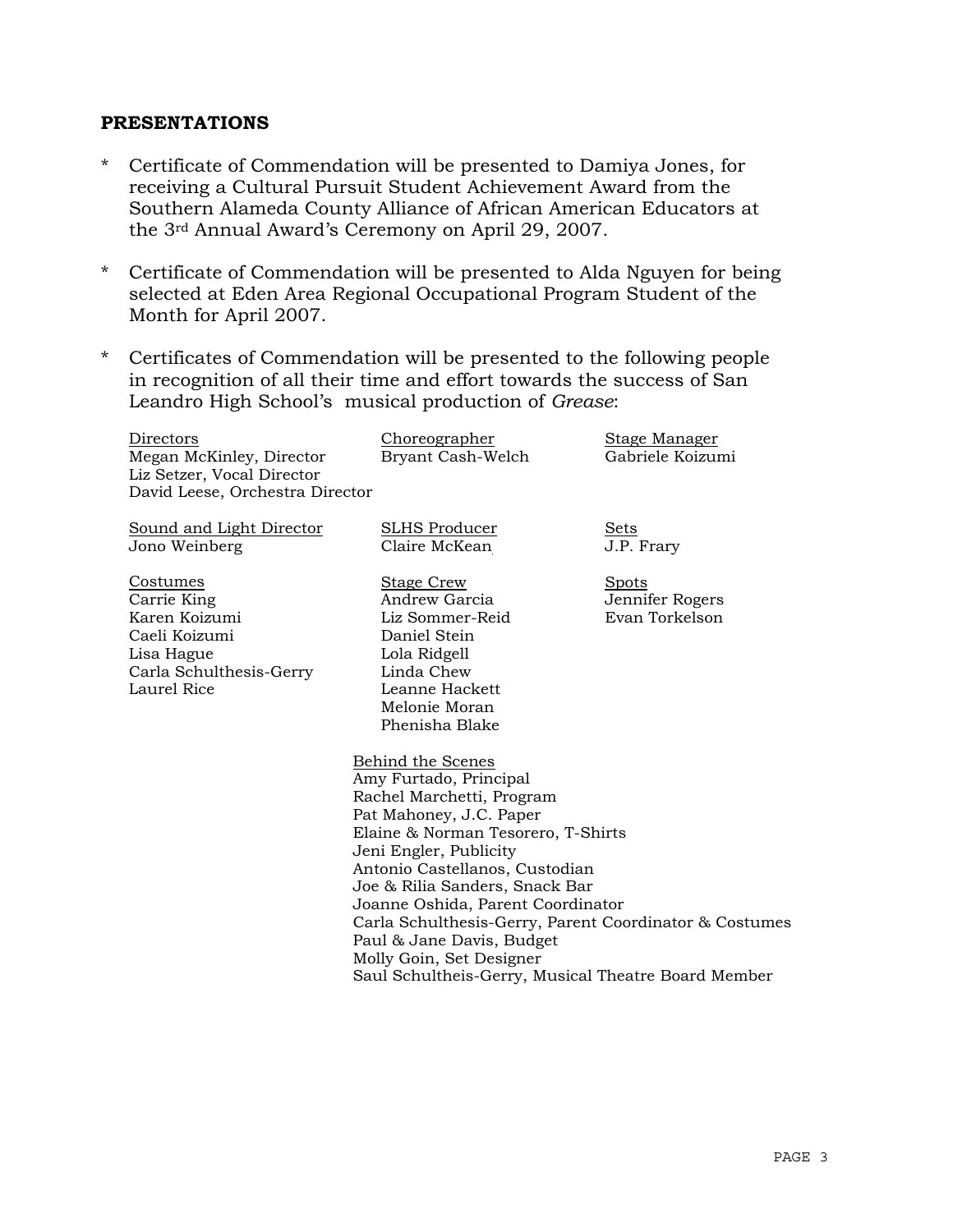#### **PRESENTATIONS**

- \* Certificate of Commendation will be presented to Damiya Jones, for receiving a Cultural Pursuit Student Achievement Award from the Southern Alameda County Alliance of African American Educators at the 3rd Annual Award's Ceremony on April 29, 2007.
- \* Certificate of Commendation will be presented to Alda Nguyen for being selected at Eden Area Regional Occupational Program Student of the Month for April 2007.
- \* Certificates of Commendation will be presented to the following people in recognition of all their time and effort towards the success of San Leandro High School's musical production of *Grease*:

| Directors<br>Megan McKinley, Director<br>Liz Setzer, Vocal Director<br>David Leese, Orchestra Director            | Choreographer<br>Bryant Cash-Welch                                                                                                                                                                                                                                                                                                                                                                                                                     | <b>Stage Manager</b><br>Gabriele Koizumi          |
|-------------------------------------------------------------------------------------------------------------------|--------------------------------------------------------------------------------------------------------------------------------------------------------------------------------------------------------------------------------------------------------------------------------------------------------------------------------------------------------------------------------------------------------------------------------------------------------|---------------------------------------------------|
| Sound and Light Director<br>Jono Weinberg                                                                         | <b>SLHS Producer</b><br>Claire McKean                                                                                                                                                                                                                                                                                                                                                                                                                  | Sets<br>J.P. Frary                                |
| Costumes<br>Carrie King<br>Karen Koizumi<br>Caeli Koizumi<br>Lisa Hague<br>Carla Schulthesis-Gerry<br>Laurel Rice | <b>Stage Crew</b><br>Andrew Garcia<br>Liz Sommer-Reid<br>Daniel Stein<br>Lola Ridgell<br>Linda Chew<br>Leanne Hackett<br>Melonie Moran<br>Phenisha Blake                                                                                                                                                                                                                                                                                               | <b>Spots</b><br>Jennifer Rogers<br>Evan Torkelson |
|                                                                                                                   | Behind the Scenes<br>Amy Furtado, Principal<br>Rachel Marchetti, Program<br>Pat Mahoney, J.C. Paper<br>Elaine & Norman Tesorero, T-Shirts<br>Jeni Engler, Publicity<br>Antonio Castellanos, Custodian<br>Joe & Rilia Sanders, Snack Bar<br>Joanne Oshida, Parent Coordinator<br>Carla Schulthesis-Gerry, Parent Coordinator & Costumes<br>Paul & Jane Davis, Budget<br>Molly Goin, Set Designer<br>Saul Schultheis-Gerry, Musical Theatre Board Member |                                                   |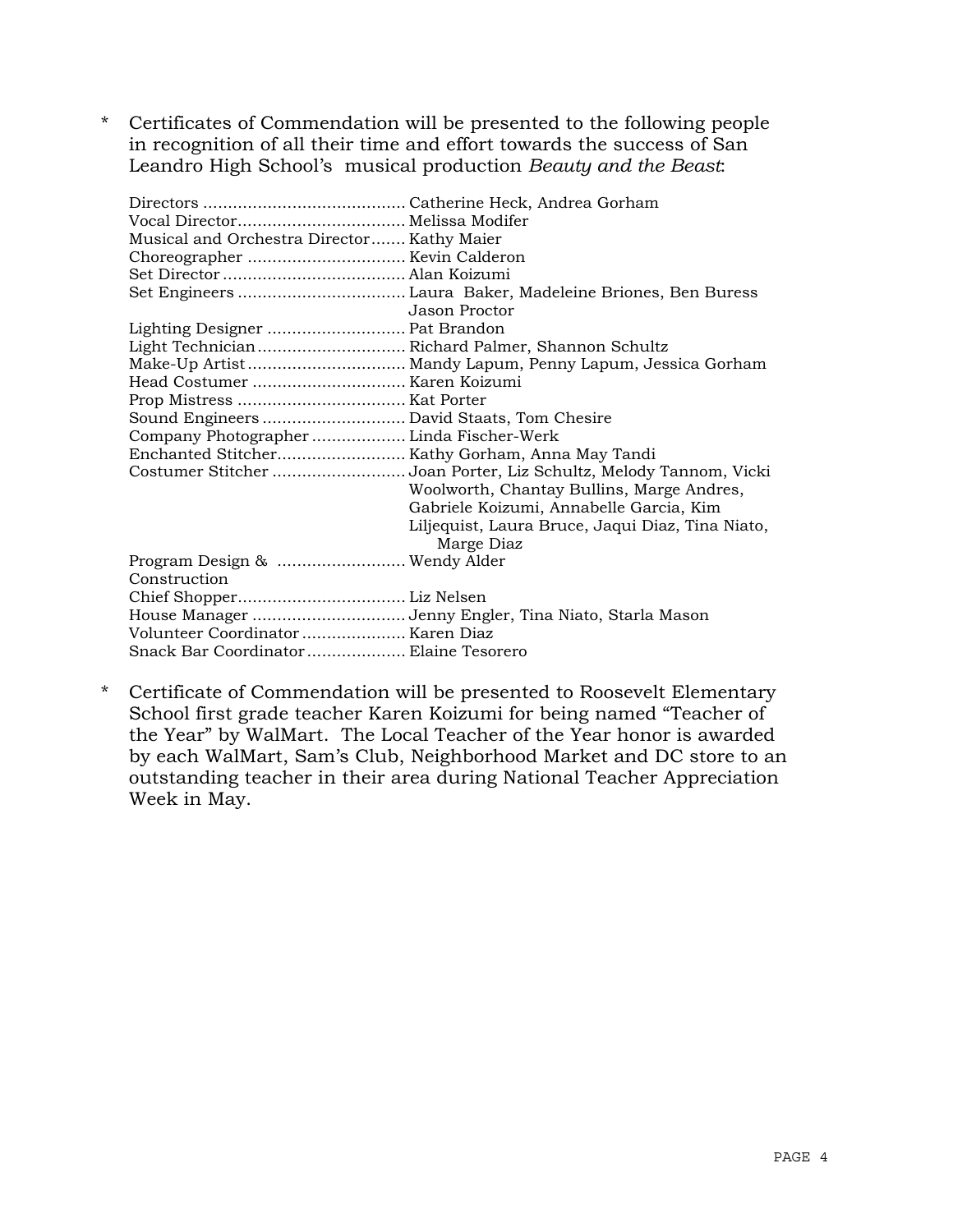\* Certificates of Commendation will be presented to the following people in recognition of all their time and effort towards the success of San Leandro High School's musical production *Beauty and the Beast*:

| Musical and Orchestra Director Kathy Maier       |                                                                  |
|--------------------------------------------------|------------------------------------------------------------------|
|                                                  |                                                                  |
|                                                  |                                                                  |
|                                                  |                                                                  |
|                                                  | Jason Proctor                                                    |
|                                                  |                                                                  |
| Light Technician Richard Palmer, Shannon Schultz |                                                                  |
|                                                  |                                                                  |
| Head Costumer  Karen Koizumi                     |                                                                  |
|                                                  |                                                                  |
| Sound Engineers  David Staats, Tom Chesire       |                                                                  |
| Company Photographer  Linda Fischer-Werk         |                                                                  |
|                                                  |                                                                  |
|                                                  | Costumer Stitcher Joan Porter, Liz Schultz, Melody Tannom, Vicki |
|                                                  | Woolworth, Chantay Bullins, Marge Andres,                        |
|                                                  | Gabriele Koizumi, Annabelle Garcia, Kim                          |
|                                                  | Liljequist, Laura Bruce, Jaqui Diaz, Tina Niato,                 |
|                                                  | Marge Diaz                                                       |
| Program Design &  Wendy Alder                    |                                                                  |
| Construction                                     |                                                                  |
|                                                  |                                                                  |
|                                                  | House Manager Jenny Engler, Tina Niato, Starla Mason             |
| Volunteer Coordinator  Karen Diaz                |                                                                  |
| Snack Bar Coordinator Elaine Tesorero            |                                                                  |
|                                                  |                                                                  |

\* Certificate of Commendation will be presented to Roosevelt Elementary School first grade teacher Karen Koizumi for being named "Teacher of the Year" by WalMart. The Local Teacher of the Year honor is awarded by each WalMart, Sam's Club, Neighborhood Market and DC store to an outstanding teacher in their area during National Teacher Appreciation Week in May.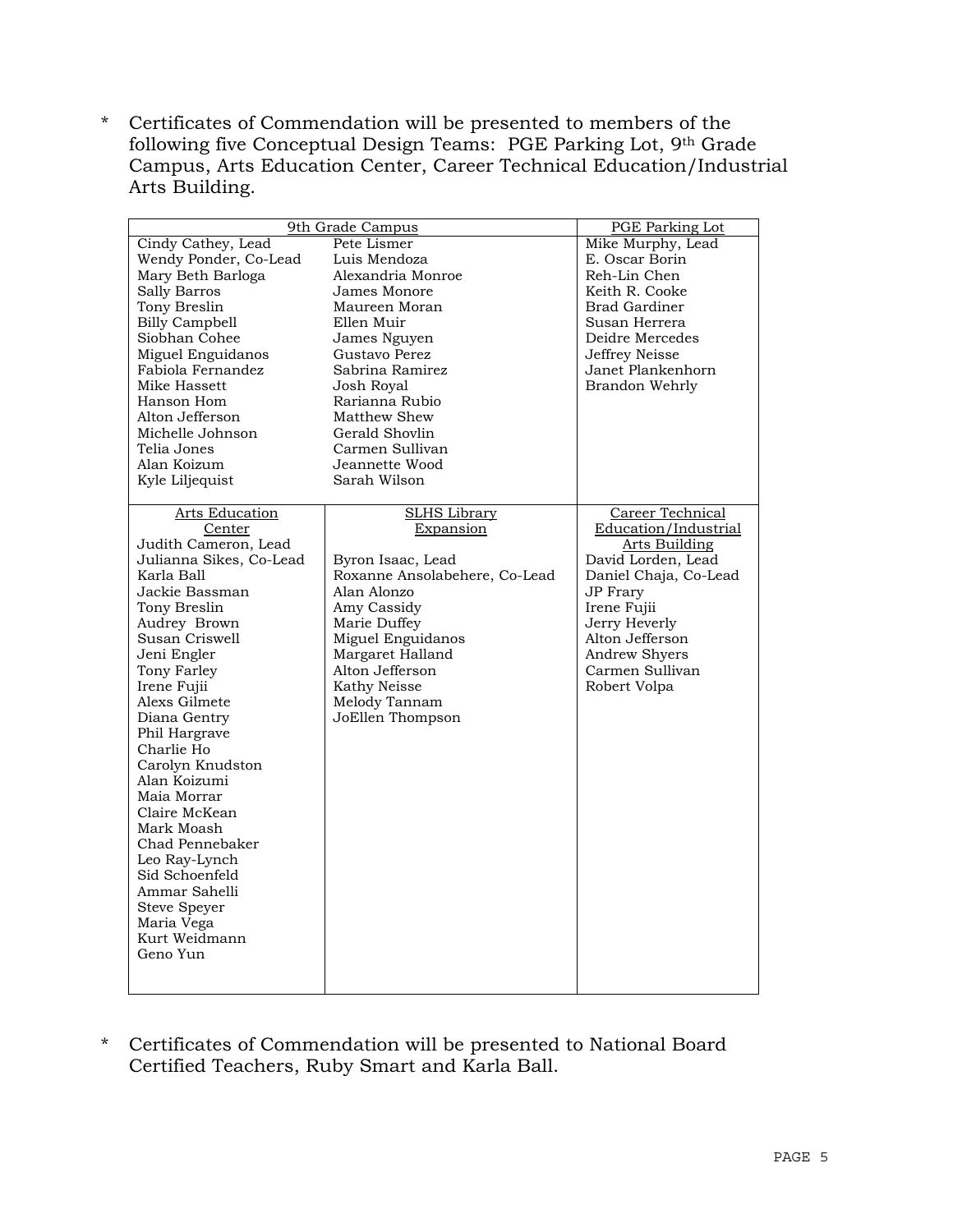\* Certificates of Commendation will be presented to members of the following five Conceptual Design Teams: PGE Parking Lot, 9th Grade Campus, Arts Education Center, Career Technical Education/Industrial Arts Building.

| 9th Grade Campus        |                                     | <b>PGE</b> Parking Lot           |
|-------------------------|-------------------------------------|----------------------------------|
| Cindy Cathey, Lead      | Pete Lismer                         | Mike Murphy, Lead                |
| Wendy Ponder, Co-Lead   | Luis Mendoza                        | E. Oscar Borin                   |
| Mary Beth Barloga       | Alexandria Monroe                   | Reh-Lin Chen                     |
| Sally Barros            | James Monore                        | Keith R. Cooke                   |
| Tony Breslin            | Maureen Moran                       | <b>Brad Gardiner</b>             |
| <b>Billy Campbell</b>   | Ellen Muir                          | Susan Herrera                    |
| Siobhan Cohee           | James Nguyen                        | Deidre Mercedes                  |
| Miguel Enguidanos       | Gustavo Perez                       | Jeffrey Neisse                   |
| Fabiola Fernandez       | Sabrina Ramirez                     | Janet Plankenhorn                |
| Mike Hassett            | Josh Royal                          | Brandon Wehrly                   |
| Hanson Hom              | Rarianna Rubio                      |                                  |
| Alton Jefferson         | Matthew Shew                        |                                  |
| Michelle Johnson        | Gerald Shovlin                      |                                  |
| Telia Jones             | Carmen Sullivan                     |                                  |
| Alan Koizum             | Jeannette Wood                      |                                  |
|                         | Sarah Wilson                        |                                  |
| Kyle Liljequist         |                                     |                                  |
| <b>Arts Education</b>   | <b>SLHS Library</b>                 | Career Technical                 |
| Center                  | Expansion                           | Education/Industrial             |
| Judith Cameron, Lead    |                                     | Arts Building                    |
| Julianna Sikes, Co-Lead | Byron Isaac, Lead                   | David Lorden, Lead               |
| Karla Ball              | Roxanne Ansolabehere, Co-Lead       | Daniel Chaja, Co-Lead            |
| Jackie Bassman          | Alan Alonzo                         | <b>JP</b> Frary                  |
| Tony Breslin            | Amy Cassidy                         | Irene Fujii                      |
| Audrey Brown            | Marie Duffey                        | Jerry Heverly                    |
| Susan Criswell          |                                     | Alton Jefferson                  |
|                         | Miguel Enguidanos                   |                                  |
| Jeni Engler             | Margaret Halland<br>Alton Jefferson | Andrew Shyers<br>Carmen Sullivan |
| Tony Farley             | Kathy Neisse                        |                                  |
| Irene Fujii             |                                     | Robert Volpa                     |
| Alexs Gilmete           | Melody Tannam                       |                                  |
| Diana Gentry            | JoEllen Thompson                    |                                  |
| Phil Hargrave           |                                     |                                  |
| Charlie Ho              |                                     |                                  |
| Carolyn Knudston        |                                     |                                  |
| Alan Koizumi            |                                     |                                  |
| Maia Morrar             |                                     |                                  |
| Claire McKean           |                                     |                                  |
| Mark Moash              |                                     |                                  |
| Chad Pennebaker         |                                     |                                  |
| Leo Ray-Lynch           |                                     |                                  |
| Sid Schoenfeld          |                                     |                                  |
| Ammar Sahelli           |                                     |                                  |
| <b>Steve Speyer</b>     |                                     |                                  |
| Maria Vega              |                                     |                                  |
| Kurt Weidmann           |                                     |                                  |
| Geno Yun                |                                     |                                  |
|                         |                                     |                                  |
|                         |                                     |                                  |

\* Certificates of Commendation will be presented to National Board Certified Teachers, Ruby Smart and Karla Ball.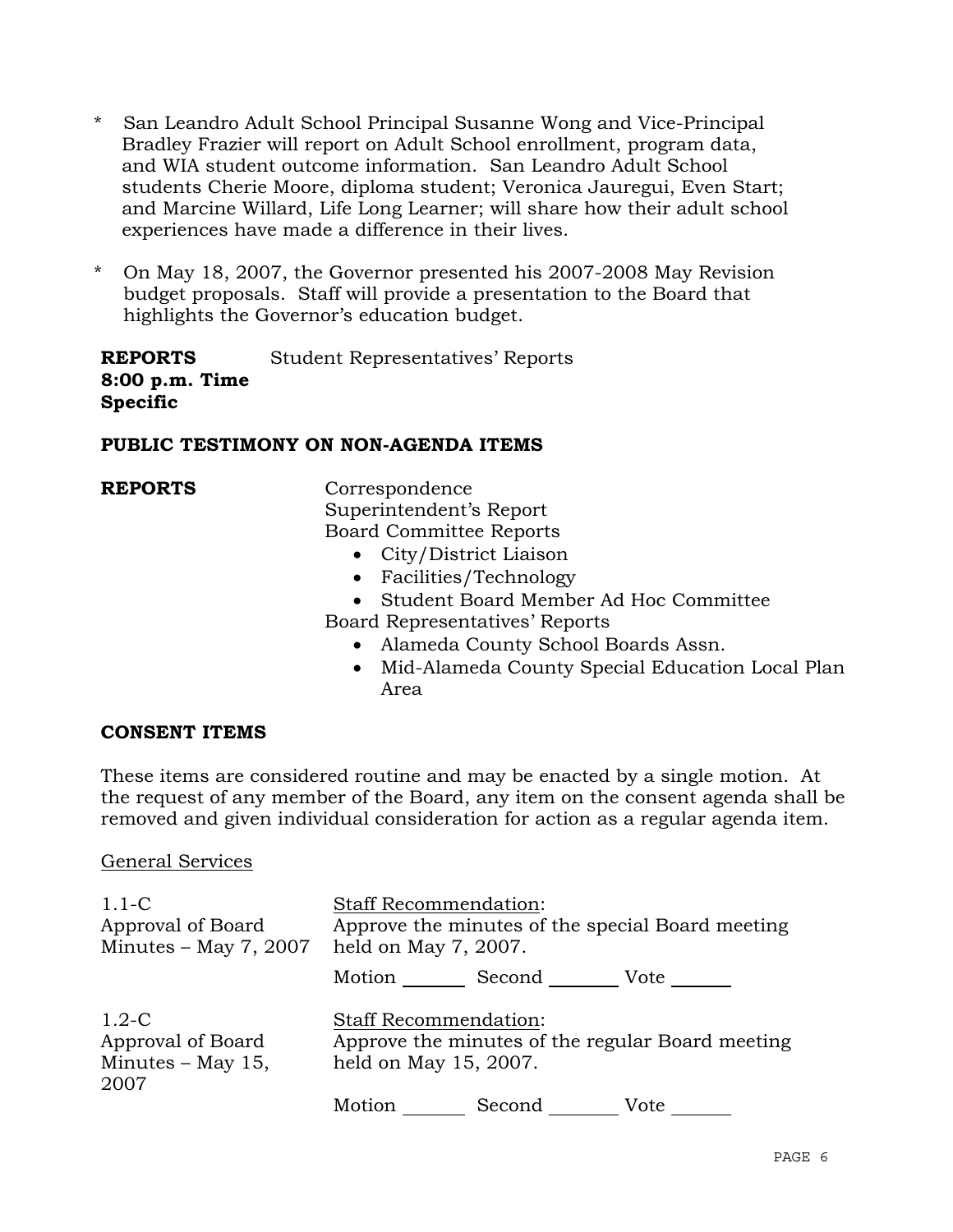- \* San Leandro Adult School Principal Susanne Wong and Vice-Principal Bradley Frazier will report on Adult School enrollment, program data, and WIA student outcome information. San Leandro Adult School students Cherie Moore, diploma student; Veronica Jauregui, Even Start; and Marcine Willard, Life Long Learner; will share how their adult school experiences have made a difference in their lives.
- \* On May 18, 2007, the Governor presented his 2007-2008 May Revision budget proposals. Staff will provide a presentation to the Board that highlights the Governor's education budget.

**REPORTS 8:00 p.m. Time Specific**  Student Representatives' Reports

# **PUBLIC TESTIMONY ON NON-AGENDA ITEMS**

**REPORTS** Correspondence Superintendent's Report Board Committee Reports

- City/District Liaison
- Facilities/Technology
- Student Board Member Ad Hoc Committee

Board Representatives' Reports

- Alameda County School Boards Assn.
- Mid-Alameda County Special Education Local Plan Area

# **CONSENT ITEMS**

These items are considered routine and may be enacted by a single motion. At the request of any member of the Board, any item on the consent agenda shall be removed and given individual consideration for action as a regular agenda item.

## General Services

| $1.1-C$<br>Approval of Board<br>Minutes $-$ May 7, 2007     | <b>Staff Recommendation:</b><br>Approve the minutes of the special Board meeting<br>held on May 7, 2007.  |        |      |
|-------------------------------------------------------------|-----------------------------------------------------------------------------------------------------------|--------|------|
|                                                             | Motion                                                                                                    | Second | Vote |
| $1.2-C$<br>Approval of Board<br>Minutes $-$ May 15,<br>2007 | <b>Staff Recommendation:</b><br>Approve the minutes of the regular Board meeting<br>held on May 15, 2007. |        |      |
|                                                             | Motion                                                                                                    | Second | Vote |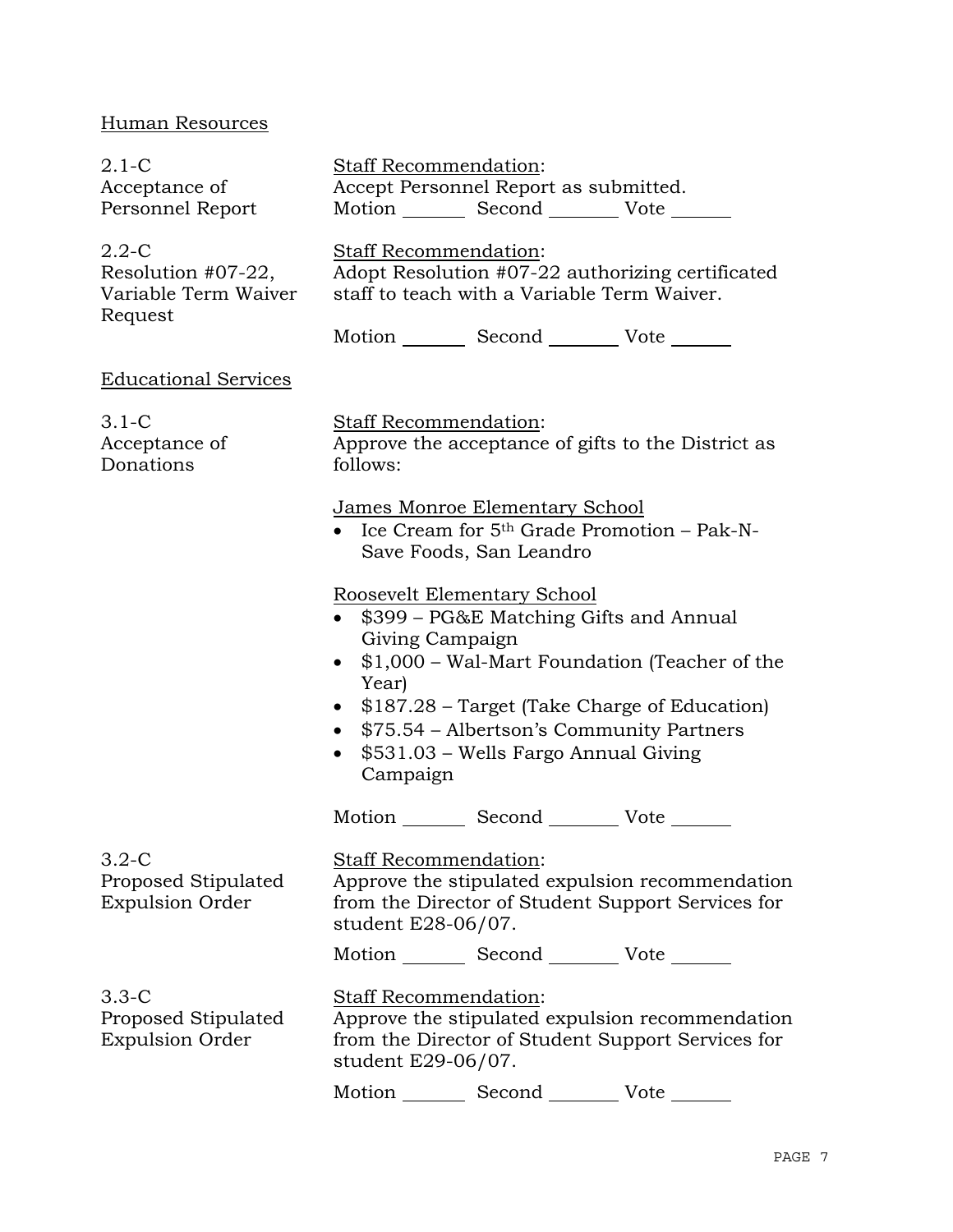# Human Resources

| $2.1-C$<br>Acceptance of<br>Personnel Report                       |                                                                                                                                 | Staff Recommendation:<br>Accept Personnel Report as submitted.                         | Motion _________ Second __________ Vote _______                                                                                                                                         |
|--------------------------------------------------------------------|---------------------------------------------------------------------------------------------------------------------------------|----------------------------------------------------------------------------------------|-----------------------------------------------------------------------------------------------------------------------------------------------------------------------------------------|
| $2.2 - C$<br>Resolution #07-22,<br>Variable Term Waiver<br>Request | <b>Staff Recommendation:</b><br>Adopt Resolution #07-22 authorizing certificated<br>staff to teach with a Variable Term Waiver. |                                                                                        |                                                                                                                                                                                         |
|                                                                    |                                                                                                                                 |                                                                                        | Motion _________ Second __________ Vote _______                                                                                                                                         |
| <b>Educational Services</b>                                        |                                                                                                                                 |                                                                                        |                                                                                                                                                                                         |
| $3.1-C$<br>Acceptance of<br>Donations                              | follows:                                                                                                                        | Staff Recommendation:                                                                  | Approve the acceptance of gifts to the District as                                                                                                                                      |
|                                                                    | James Monroe Elementary School<br>• Ice Cream for $5th$ Grade Promotion – Pak-N-<br>Save Foods, San Leandro                     |                                                                                        |                                                                                                                                                                                         |
|                                                                    | $\bullet$<br>$\bullet$<br>Year)<br>Campaign                                                                                     | Roosevelt Elementary School<br>Giving Campaign<br>\$531.03 – Wells Fargo Annual Giving | \$399 – PG&E Matching Gifts and Annual<br>\$1,000 – Wal-Mart Foundation (Teacher of the<br>• \$187.28 – Target (Take Charge of Education)<br>• \$75.54 – Albertson's Community Partners |
|                                                                    |                                                                                                                                 |                                                                                        | Motion _________ Second __________ Vote _______                                                                                                                                         |
| $3.2-C$<br>Proposed Stipulated<br><b>Expulsion Order</b>           | student E28-06/07.                                                                                                              | <b>Staff Recommendation:</b>                                                           | Approve the stipulated expulsion recommendation<br>from the Director of Student Support Services for                                                                                    |
|                                                                    |                                                                                                                                 |                                                                                        | Motion _________ Second _________ Vote _______                                                                                                                                          |
| $3.3-C$<br>Proposed Stipulated<br><b>Expulsion Order</b>           | student E29-06/07.                                                                                                              | Staff Recommendation:                                                                  | Approve the stipulated expulsion recommendation<br>from the Director of Student Support Services for                                                                                    |
|                                                                    |                                                                                                                                 | Motion Second                                                                          | Vote                                                                                                                                                                                    |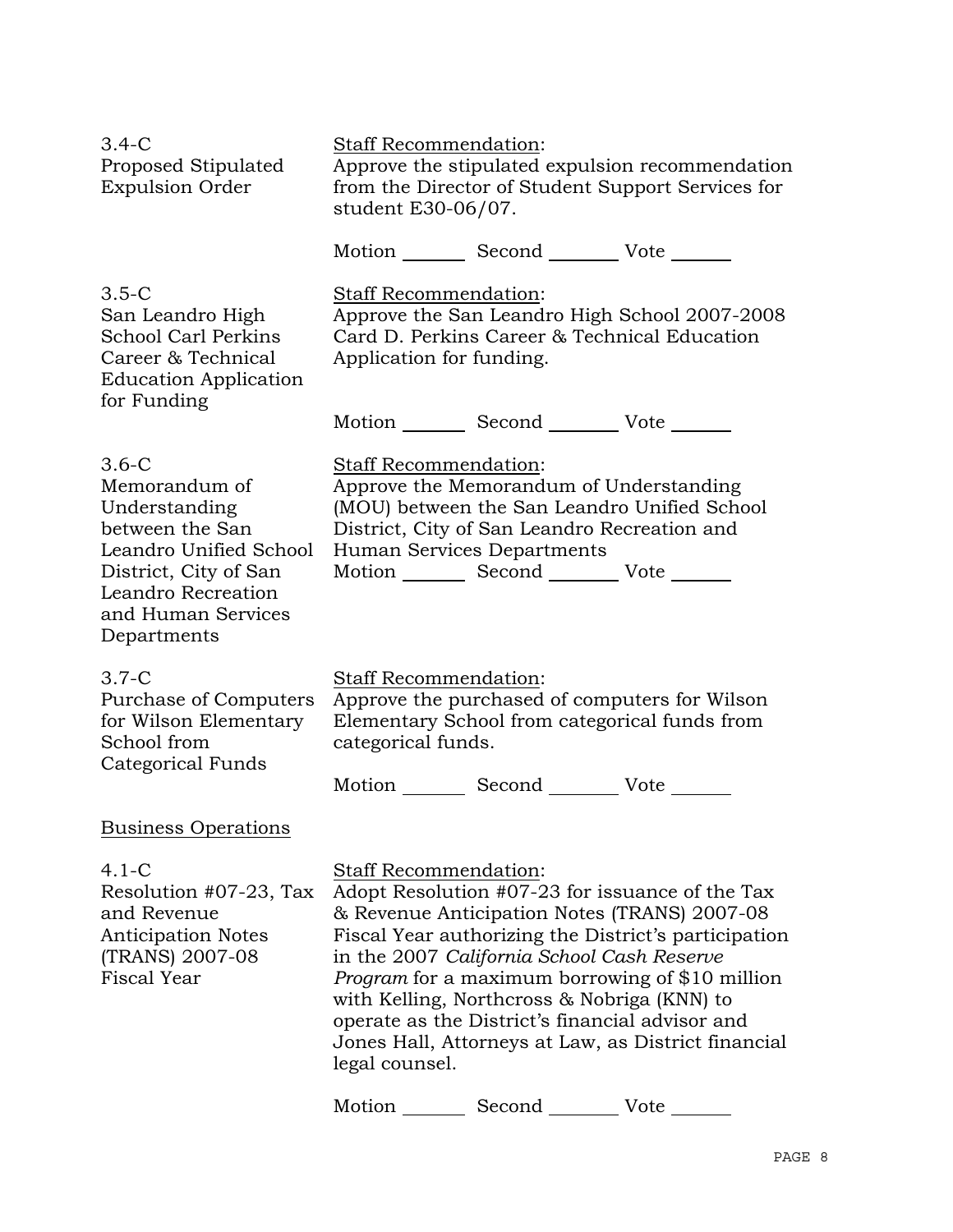| $3.4 - C$<br>Proposed Stipulated<br><b>Expulsion Order</b>                                                                                                                 | Staff Recommendation:<br>Approve the stipulated expulsion recommendation<br>from the Director of Student Support Services for<br>student E30-06/07.                                                                                                                                                                                                                                                                                                                                             |  |
|----------------------------------------------------------------------------------------------------------------------------------------------------------------------------|-------------------------------------------------------------------------------------------------------------------------------------------------------------------------------------------------------------------------------------------------------------------------------------------------------------------------------------------------------------------------------------------------------------------------------------------------------------------------------------------------|--|
|                                                                                                                                                                            | Motion _________ Second __________ Vote _______                                                                                                                                                                                                                                                                                                                                                                                                                                                 |  |
| $3.5-C$<br>San Leandro High<br><b>School Carl Perkins</b><br>Career & Technical<br><b>Education Application</b>                                                            | Staff Recommendation:<br>Approve the San Leandro High School 2007-2008<br>Card D. Perkins Career & Technical Education<br>Application for funding.                                                                                                                                                                                                                                                                                                                                              |  |
| for Funding                                                                                                                                                                | Motion _________ Second ___________ Vote _______                                                                                                                                                                                                                                                                                                                                                                                                                                                |  |
| $3.6-C$<br>Memorandum of<br>Understanding<br>between the San<br>Leandro Unified School<br>District, City of San<br>Leandro Recreation<br>and Human Services<br>Departments | Staff Recommendation:<br>Approve the Memorandum of Understanding<br>(MOU) between the San Leandro Unified School<br>District, City of San Leandro Recreation and<br>Human Services Departments<br>Motion Second Vote                                                                                                                                                                                                                                                                            |  |
| $3.7-C$<br>Purchase of Computers<br>for Wilson Elementary<br>School from<br>Categorical Funds                                                                              | Staff Recommendation:<br>Approve the purchased of computers for Wilson<br>Elementary School from categorical funds from<br>categorical funds.                                                                                                                                                                                                                                                                                                                                                   |  |
|                                                                                                                                                                            | Motion _________ Second __________ Vote _______                                                                                                                                                                                                                                                                                                                                                                                                                                                 |  |
| <b>Business Operations</b>                                                                                                                                                 |                                                                                                                                                                                                                                                                                                                                                                                                                                                                                                 |  |
| 4.1-C<br>Resolution #07-23, Tax<br>and Revenue<br><b>Anticipation Notes</b><br>(TRANS) 2007-08<br><b>Fiscal Year</b>                                                       | Staff Recommendation:<br>Adopt Resolution #07-23 for issuance of the Tax<br>& Revenue Anticipation Notes (TRANS) 2007-08<br>Fiscal Year authorizing the District's participation<br>in the 2007 California School Cash Reserve<br><i>Program</i> for a maximum borrowing of \$10 million<br>with Kelling, Northcross & Nobriga (KNN) to<br>operate as the District's financial advisor and<br>Jones Hall, Attorneys at Law, as District financial<br>legal counsel.<br>Motion<br>Second<br>Vote |  |
|                                                                                                                                                                            |                                                                                                                                                                                                                                                                                                                                                                                                                                                                                                 |  |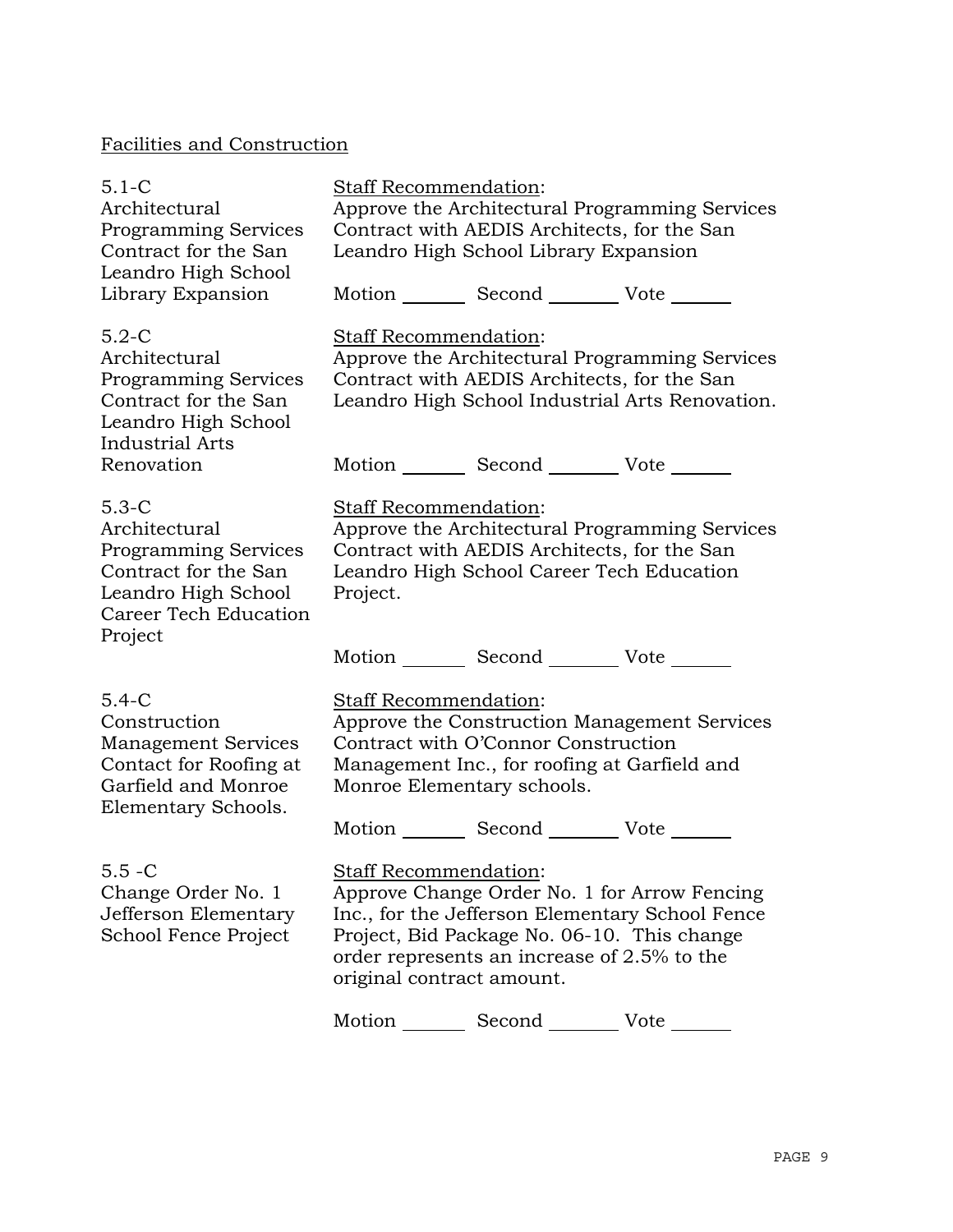# Facilities and Construction

| $5.1 - C$<br>Architectural<br><b>Programming Services</b><br>Contract for the San<br>Leandro High School                                   | Staff Recommendation:<br>Approve the Architectural Programming Services<br>Contract with AEDIS Architects, for the San<br>Leandro High School Library Expansion                                                                                            |  |
|--------------------------------------------------------------------------------------------------------------------------------------------|------------------------------------------------------------------------------------------------------------------------------------------------------------------------------------------------------------------------------------------------------------|--|
| Library Expansion                                                                                                                          | Motion Second Vote                                                                                                                                                                                                                                         |  |
| $5.2-C$<br>Architectural<br><b>Programming Services</b><br>Contract for the San<br>Leandro High School<br><b>Industrial Arts</b>           | <b>Staff Recommendation:</b><br>Approve the Architectural Programming Services<br>Contract with AEDIS Architects, for the San<br>Leandro High School Industrial Arts Renovation.                                                                           |  |
| Renovation                                                                                                                                 | Motion _________ Second __________ Vote _______                                                                                                                                                                                                            |  |
| $5.3-C$<br>Architectural<br><b>Programming Services</b><br>Contract for the San<br>Leandro High School<br>Career Tech Education<br>Project | Staff Recommendation:<br>Approve the Architectural Programming Services<br>Contract with AEDIS Architects, for the San<br>Leandro High School Career Tech Education<br>Project.                                                                            |  |
|                                                                                                                                            | Motion _________ Second __________ Vote _______                                                                                                                                                                                                            |  |
| $5.4-C$<br>Construction<br><b>Management Services</b><br>Contact for Roofing at<br>Garfield and Monroe<br>Elementary Schools.              | Staff Recommendation:<br>Approve the Construction Management Services<br>Contract with O'Connor Construction<br>Management Inc., for roofing at Garfield and<br>Monroe Elementary schools.<br>Motion _________ Second _________ Vote _______               |  |
| $5.5 - C$<br>Change Order No. 1<br>Jefferson Elementary<br>School Fence Project                                                            | <b>Staff Recommendation:</b><br>Approve Change Order No. 1 for Arrow Fencing<br>Inc., for the Jefferson Elementary School Fence<br>Project, Bid Package No. 06-10. This change<br>order represents an increase of 2.5% to the<br>original contract amount. |  |
|                                                                                                                                            | Motion _________ Second __________ Vote ______                                                                                                                                                                                                             |  |